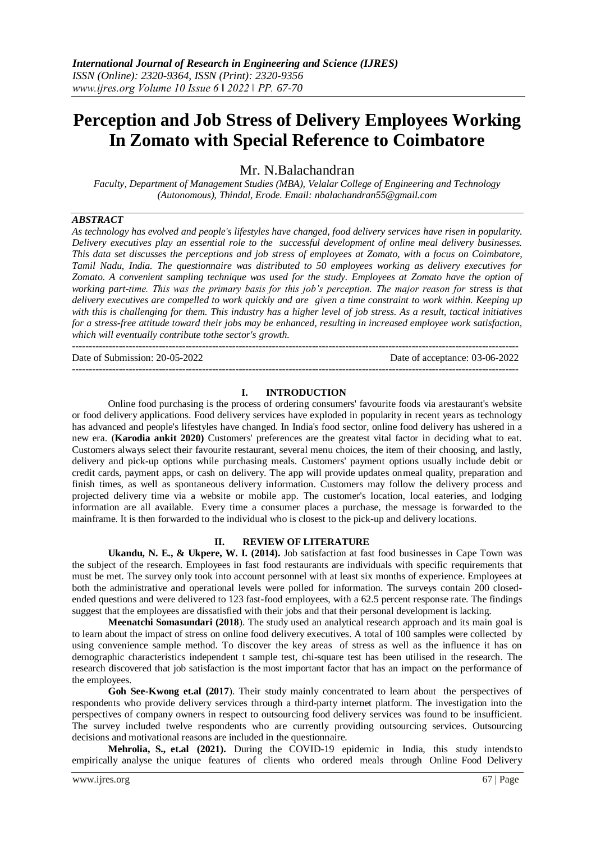# **Perception and Job Stress of Delivery Employees Working In Zomato with Special Reference to Coimbatore**

Mr. N.Balachandran

*Faculty, Department of Management Studies (MBA), Velalar College of Engineering and Technology (Autonomous), Thindal, Erode. Email: [nbalachandran55@gmail.com](mailto:nbalachandran55@gmail.com)*

# *ABSTRACT*

*As technology has evolved and people's lifestyles have changed, food delivery services have risen in popularity. Delivery executives play an essential role to the successful development of online meal delivery businesses. This data set discusses the perceptions and job stress of employees at Zomato, with a focus on Coimbatore, Tamil Nadu, India. The questionnaire was distributed to 50 employees working as delivery executives for Zomato. A convenient sampling technique was used for the study. Employees at Zomato have the option of working part-time. This was the primary basis for this job's perception. The major reason for stress is that delivery executives are compelled to work quickly and are given a time constraint to work within. Keeping up with this is challenging for them. This industry has a higher level of job stress. As a result, tactical initiatives for a stress-free attitude toward their jobs may be enhanced, resulting in increased employee work satisfaction, which will eventually contribute tothe sector's growth.*

--------------------------------------------------------------------------------------------------------------------------------------

--------------------------------------------------------------------------------------------------------------------------------------

Date of Submission: 20-05-2022 Date of acceptance: 03-06-2022

# **I. INTRODUCTION**

Online food purchasing is the process of ordering consumers' favourite foods via arestaurant's website or food delivery applications. Food delivery services have exploded in popularity in recent years as technology has advanced and people's lifestyles have changed. In India's food sector, online food delivery has ushered in a new era. (**Karodia ankit 2020)** Customers' preferences are the greatest vital factor in deciding what to eat. Customers always select their favourite restaurant, several menu choices, the item of their choosing, and lastly, delivery and pick-up options while purchasing meals. Customers' payment options usually include debit or credit cards, payment apps, or cash on delivery. The app will provide updates onmeal quality, preparation and finish times, as well as spontaneous delivery information. Customers may follow the delivery process and projected delivery time via a website or mobile app. The customer's location, local eateries, and lodging information are all available. Every time a consumer places a purchase, the message is forwarded to the mainframe. It is then forwarded to the individual who is closest to the pick-up and delivery locations.

# **II. REVIEW OF LITERATURE**

**Ukandu, N. E., & Ukpere, W. I. (2014).** Job satisfaction at fast food businesses in Cape Town was the subject of the research. Employees in fast food restaurants are individuals with specific requirements that must be met. The survey only took into account personnel with at least six months of experience. Employees at both the administrative and operational levels were polled for information. The surveys contain 200 closedended questions and were delivered to 123 fast-food employees, with a 62.5 percent response rate. The findings suggest that the employees are dissatisfied with their jobs and that their personal development is lacking.

**Meenatchi Somasundari (2018**). The study used an analytical research approach and its main goal is to learn about the impact of stress on online food delivery executives. A total of 100 samples were collected by using convenience sample method. To discover the key areas of stress as well as the influence it has on demographic characteristics independent t sample test, chi-square test has been utilised in the research. The research discovered that job satisfaction is the most important factor that has an impact on the performance of the employees.

**Goh See-Kwong et.al (2017**). Their study mainly concentrated to learn about the perspectives of respondents who provide delivery services through a third-party internet platform. The investigation into the perspectives of company owners in respect to outsourcing food delivery services was found to be insufficient. The survey included twelve respondents who are currently providing outsourcing services. Outsourcing decisions and motivational reasons are included in the questionnaire.

**Mehrolia, S., et.al (2021).** During the COVID-19 epidemic in India, this study intendsto empirically analyse the unique features of clients who ordered meals through Online Food Delivery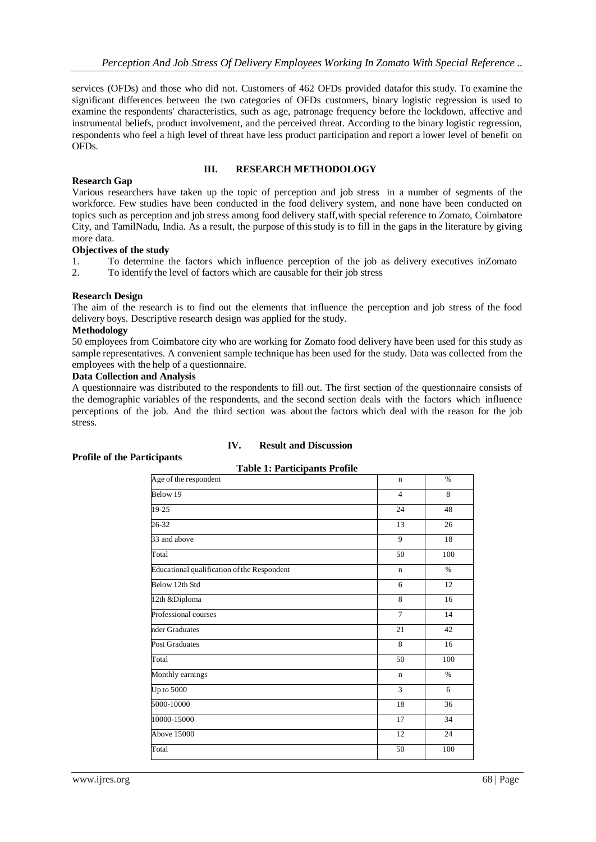services (OFDs) and those who did not. Customers of 462 OFDs provided datafor this study. To examine the significant differences between the two categories of OFDs customers, binary logistic regression is used to examine the respondents' characteristics, such as age, patronage frequency before the lockdown, affective and instrumental beliefs, product involvement, and the perceived threat. According to the binary logistic regression, respondents who feel a high level of threat have less product participation and report a lower level of benefit on OFDs.

# **III. RESEARCH METHODOLOGY**

# **Research Gap**

Various researchers have taken up the topic of perception and job stress in a number of segments of the workforce. Few studies have been conducted in the food delivery system, and none have been conducted on topics such as perception and job stress among food delivery staff,with special reference to Zomato, Coimbatore City, and TamilNadu, India. As a result, the purpose of this study is to fill in the gaps in the literature by giving more data.

# **Objectives of the study**

1. To determine the factors which influence perception of the job as delivery executives inZomato

2. To identify the level of factors which are causable for their job stress

# **Research Design**

The aim of the research is to find out the elements that influence the perception and job stress of the food delivery boys. Descriptive research design was applied for the study.

#### **Methodology**

50 employees from Coimbatore city who are working for Zomato food delivery have been used for this study as sample representatives. A convenient sample technique has been used for the study. Data was collected from the employees with the help of a questionnaire.

#### **Data Collection and Analysis**

A questionnaire was distributed to the respondents to fill out. The first section of the questionnaire consists of the demographic variables of the respondents, and the second section deals with the factors which influence perceptions of the job. And the third section was about the factors which deal with the reason for the job stress.

# **IV. Result and Discussion**

#### **Profile of the Participants**

| Age of the respondent                       | $\mathbf n$    | $\%$            |
|---------------------------------------------|----------------|-----------------|
| Below 19                                    | $\overline{4}$ | 8               |
| $19 - 25$                                   | 24             | 48              |
| $26 - 32$                                   | 13             | $\overline{26}$ |
| 33 and above                                | 9              | 18              |
| Total                                       | 50             | 100             |
| Educational qualification of the Respondent | $\mathbf n$    | $\frac{0}{6}$   |
| Below 12th Std                              | 6              | 12              |
| 12th &Diploma                               | 8              | 16              |
| Professional courses                        | $\overline{7}$ | 14              |
| nder Graduates                              | 21             | 42              |
| <b>Post Graduates</b>                       | 8              | 16              |
| Total                                       | 50             | 100             |
| Monthly earnings                            | $\mathbf n$    | $\%$            |
| Up to 5000                                  | 3              | 6               |
| 5000-10000                                  | 18             | 36              |
| 10000-15000                                 | 17             | 34              |
| Above 15000                                 | 12             | 24              |
| Total                                       | 50             | 100             |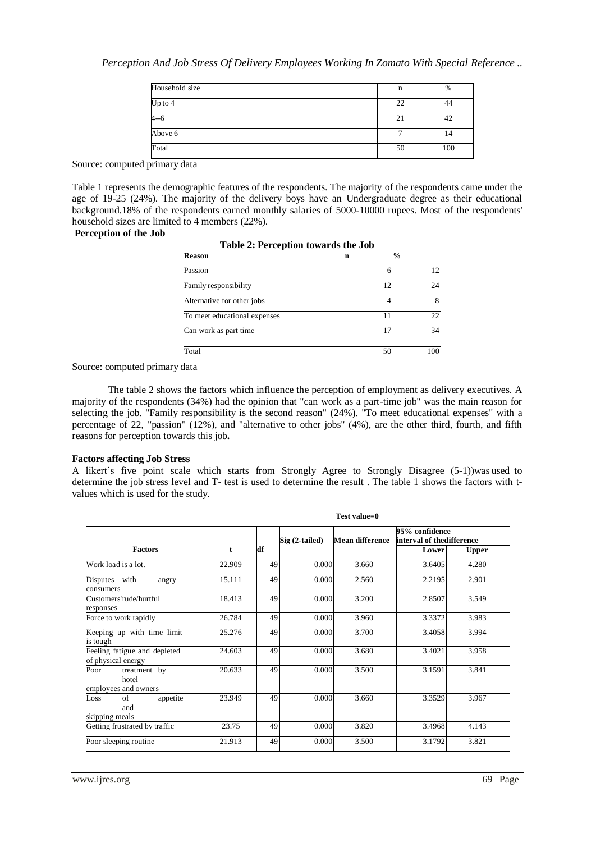| Household size | n  | %   |
|----------------|----|-----|
| Up to 4        | 22 | 44  |
| $4 - 6$        | 21 | 42  |
| Above 6        |    | 14  |
| Total          | 50 | 100 |

Source: computed primary data

Table 1 represents the demographic features of the respondents. The majority of the respondents came under the age of 19-25 (24%). The majority of the delivery boys have an Undergraduate degree as their educational background.18% of the respondents earned monthly salaries of 5000-10000 rupees. Most of the respondents' household sizes are limited to 4 members (22%).

### **Perception of the Job**

| <b>Reason</b>                |    | %   |
|------------------------------|----|-----|
| Passion                      |    | 12  |
| Family responsibility        | 12 | 24  |
| Alternative for other jobs   |    |     |
| To meet educational expenses | 11 | 22  |
| Can work as part time        |    | 34  |
| Total                        | 50 | 100 |

| Table 2: Perception towards the Job |  |
|-------------------------------------|--|
|-------------------------------------|--|

Source: computed primary data

The table 2 shows the factors which influence the perception of employment as delivery executives. A majority of the respondents (34%) had the opinion that "can work as a part-time job" was the main reason for selecting the job. "Family responsibility is the second reason" (24%). "To meet educational expenses" with a percentage of 22, "passion" (12%), and "alternative to other jobs" (4%), are the other third, fourth, and fifth reasons for perception towards this job**.**

#### **Factors affecting Job Stress**

A likert's five point scale which starts from Strongly Agree to Strongly Disagree (5-1))was used to determine the job stress level and T- test is used to determine the result . The table 1 shows the factors with tvalues which is used for the study.

|                                                       | Test value=0 |    |                 |                        |                                             |       |
|-------------------------------------------------------|--------------|----|-----------------|------------------------|---------------------------------------------|-------|
| <b>Factors</b>                                        | t            | df | $Sig(2-tailed)$ | <b>Mean difference</b> | 95% confidence<br>interval of thedifference |       |
|                                                       |              |    |                 |                        | Lower                                       | Upper |
| Work load is a lot.                                   | 22.909       | 49 | 0.000           | 3.660                  | 3.6405                                      | 4.280 |
| Disputes with<br>angry<br>consumers                   | 15.111       | 49 | 0.000           | 2.560                  | 2.2195                                      | 2.901 |
| Customers'rude/hurtful<br>responses                   | 18.413       | 49 | 0.000           | 3.200                  | 2.8507                                      | 3.549 |
| Force to work rapidly                                 | 26.784       | 49 | 0.000           | 3.960                  | 3.3372                                      | 3.983 |
| Keeping up with time limit<br>is tough                | 25.276       | 49 | 0.000           | 3.700                  | 3.4058                                      | 3.994 |
| Feeling fatigue and depleted<br>of physical energy    | 24.603       | 49 | 0.000           | 3.680                  | 3.4021                                      | 3.958 |
| Poor<br>treatment by<br>hotel<br>employees and owners | 20.633       | 49 | 0.000           | 3.500                  | 3.1591                                      | 3.841 |
| appetite<br>of<br>Loss<br>and<br>skipping meals       | 23.949       | 49 | 0.000           | 3.660                  | 3.3529                                      | 3.967 |
| Getting frustrated by traffic                         | 23.75        | 49 | 0.000           | 3.820                  | 3.4968                                      | 4.143 |
| Poor sleeping routine                                 | 21.913       | 49 | 0.000           | 3.500                  | 3.1792                                      | 3.821 |